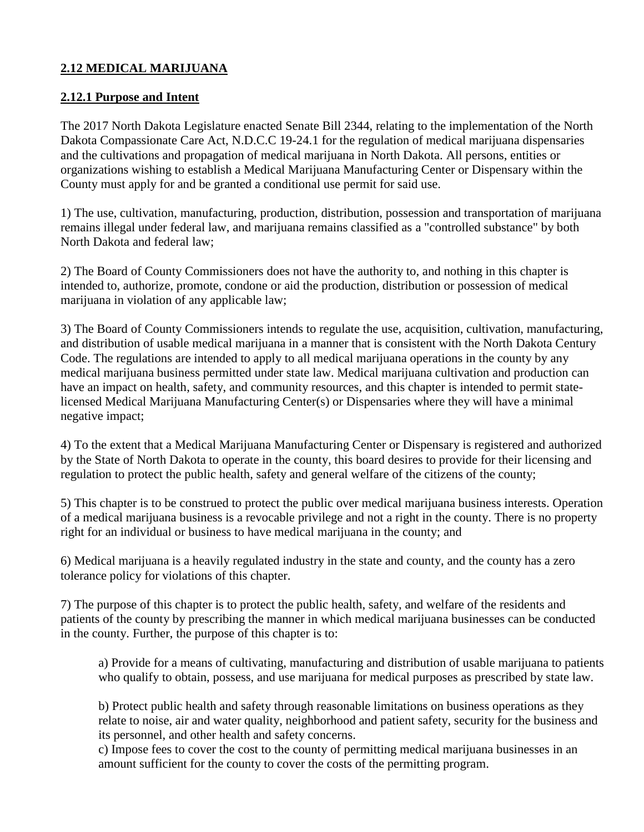## **2.12 MEDICAL MARIJUANA**

### **2.12.1 Purpose and Intent**

The 2017 North Dakota Legislature enacted Senate Bill 2344, relating to the implementation of the North Dakota Compassionate Care Act, N.D.C.C 19-24.1 for the regulation of medical marijuana dispensaries and the cultivations and propagation of medical marijuana in North Dakota. All persons, entities or organizations wishing to establish a Medical Marijuana Manufacturing Center or Dispensary within the County must apply for and be granted a conditional use permit for said use.

1) The use, cultivation, manufacturing, production, distribution, possession and transportation of marijuana remains illegal under federal law, and marijuana remains classified as a "controlled substance" by both North Dakota and federal law;

2) The Board of County Commissioners does not have the authority to, and nothing in this chapter is intended to, authorize, promote, condone or aid the production, distribution or possession of medical marijuana in violation of any applicable law;

3) The Board of County Commissioners intends to regulate the use, acquisition, cultivation, manufacturing, and distribution of usable medical marijuana in a manner that is consistent with the North Dakota Century Code. The regulations are intended to apply to all medical marijuana operations in the county by any medical marijuana business permitted under state law. Medical marijuana cultivation and production can have an impact on health, safety, and community resources, and this chapter is intended to permit statelicensed Medical Marijuana Manufacturing Center(s) or Dispensaries where they will have a minimal negative impact;

4) To the extent that a Medical Marijuana Manufacturing Center or Dispensary is registered and authorized by the State of North Dakota to operate in the county, this board desires to provide for their licensing and regulation to protect the public health, safety and general welfare of the citizens of the county;

5) This chapter is to be construed to protect the public over medical marijuana business interests. Operation of a medical marijuana business is a revocable privilege and not a right in the county. There is no property right for an individual or business to have medical marijuana in the county; and

6) Medical marijuana is a heavily regulated industry in the state and county, and the county has a zero tolerance policy for violations of this chapter.

7) The purpose of this chapter is to protect the public health, safety, and welfare of the residents and patients of the county by prescribing the manner in which medical marijuana businesses can be conducted in the county. Further, the purpose of this chapter is to:

a) Provide for a means of cultivating, manufacturing and distribution of usable marijuana to patients who qualify to obtain, possess, and use marijuana for medical purposes as prescribed by state law.

b) Protect public health and safety through reasonable limitations on business operations as they relate to noise, air and water quality, neighborhood and patient safety, security for the business and its personnel, and other health and safety concerns.

c) Impose fees to cover the cost to the county of permitting medical marijuana businesses in an amount sufficient for the county to cover the costs of the permitting program.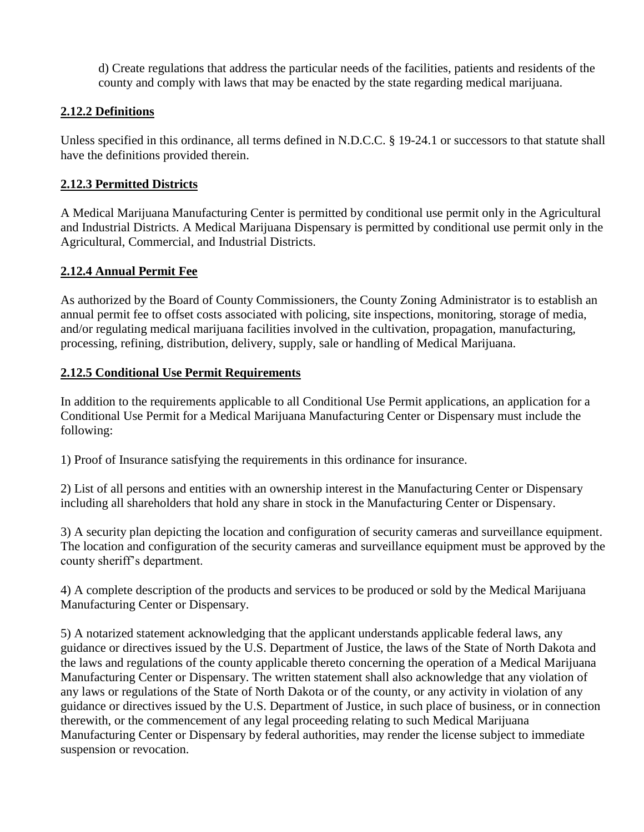d) Create regulations that address the particular needs of the facilities, patients and residents of the county and comply with laws that may be enacted by the state regarding medical marijuana.

### **2.12.2 Definitions**

Unless specified in this ordinance, all terms defined in N.D.C.C. § 19-24.1 or successors to that statute shall have the definitions provided therein.

## **2.12.3 Permitted Districts**

A Medical Marijuana Manufacturing Center is permitted by conditional use permit only in the Agricultural and Industrial Districts. A Medical Marijuana Dispensary is permitted by conditional use permit only in the Agricultural, Commercial, and Industrial Districts.

## **2.12.4 Annual Permit Fee**

As authorized by the Board of County Commissioners, the County Zoning Administrator is to establish an annual permit fee to offset costs associated with policing, site inspections, monitoring, storage of media, and/or regulating medical marijuana facilities involved in the cultivation, propagation, manufacturing, processing, refining, distribution, delivery, supply, sale or handling of Medical Marijuana.

## **2.12.5 Conditional Use Permit Requirements**

In addition to the requirements applicable to all Conditional Use Permit applications, an application for a Conditional Use Permit for a Medical Marijuana Manufacturing Center or Dispensary must include the following:

1) Proof of Insurance satisfying the requirements in this ordinance for insurance.

2) List of all persons and entities with an ownership interest in the Manufacturing Center or Dispensary including all shareholders that hold any share in stock in the Manufacturing Center or Dispensary.

3) A security plan depicting the location and configuration of security cameras and surveillance equipment. The location and configuration of the security cameras and surveillance equipment must be approved by the county sheriff's department.

4) A complete description of the products and services to be produced or sold by the Medical Marijuana Manufacturing Center or Dispensary.

5) A notarized statement acknowledging that the applicant understands applicable federal laws, any guidance or directives issued by the U.S. Department of Justice, the laws of the State of North Dakota and the laws and regulations of the county applicable thereto concerning the operation of a Medical Marijuana Manufacturing Center or Dispensary. The written statement shall also acknowledge that any violation of any laws or regulations of the State of North Dakota or of the county, or any activity in violation of any guidance or directives issued by the U.S. Department of Justice, in such place of business, or in connection therewith, or the commencement of any legal proceeding relating to such Medical Marijuana Manufacturing Center or Dispensary by federal authorities, may render the license subject to immediate suspension or revocation.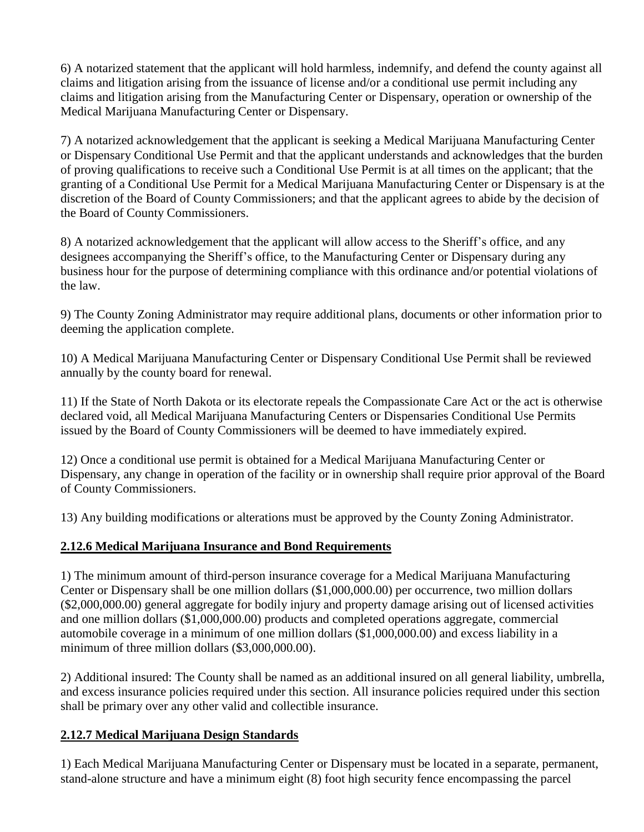6) A notarized statement that the applicant will hold harmless, indemnify, and defend the county against all claims and litigation arising from the issuance of license and/or a conditional use permit including any claims and litigation arising from the Manufacturing Center or Dispensary, operation or ownership of the Medical Marijuana Manufacturing Center or Dispensary.

7) A notarized acknowledgement that the applicant is seeking a Medical Marijuana Manufacturing Center or Dispensary Conditional Use Permit and that the applicant understands and acknowledges that the burden of proving qualifications to receive such a Conditional Use Permit is at all times on the applicant; that the granting of a Conditional Use Permit for a Medical Marijuana Manufacturing Center or Dispensary is at the discretion of the Board of County Commissioners; and that the applicant agrees to abide by the decision of the Board of County Commissioners.

8) A notarized acknowledgement that the applicant will allow access to the Sheriff's office, and any designees accompanying the Sheriff's office, to the Manufacturing Center or Dispensary during any business hour for the purpose of determining compliance with this ordinance and/or potential violations of the law.

9) The County Zoning Administrator may require additional plans, documents or other information prior to deeming the application complete.

10) A Medical Marijuana Manufacturing Center or Dispensary Conditional Use Permit shall be reviewed annually by the county board for renewal.

11) If the State of North Dakota or its electorate repeals the Compassionate Care Act or the act is otherwise declared void, all Medical Marijuana Manufacturing Centers or Dispensaries Conditional Use Permits issued by the Board of County Commissioners will be deemed to have immediately expired.

12) Once a conditional use permit is obtained for a Medical Marijuana Manufacturing Center or Dispensary, any change in operation of the facility or in ownership shall require prior approval of the Board of County Commissioners.

13) Any building modifications or alterations must be approved by the County Zoning Administrator.

# **2.12.6 Medical Marijuana Insurance and Bond Requirements**

1) The minimum amount of third-person insurance coverage for a Medical Marijuana Manufacturing Center or Dispensary shall be one million dollars (\$1,000,000.00) per occurrence, two million dollars (\$2,000,000.00) general aggregate for bodily injury and property damage arising out of licensed activities and one million dollars (\$1,000,000.00) products and completed operations aggregate, commercial automobile coverage in a minimum of one million dollars (\$1,000,000.00) and excess liability in a minimum of three million dollars (\$3,000,000,00).

2) Additional insured: The County shall be named as an additional insured on all general liability, umbrella, and excess insurance policies required under this section. All insurance policies required under this section shall be primary over any other valid and collectible insurance.

# **2.12.7 Medical Marijuana Design Standards**

1) Each Medical Marijuana Manufacturing Center or Dispensary must be located in a separate, permanent, stand-alone structure and have a minimum eight (8) foot high security fence encompassing the parcel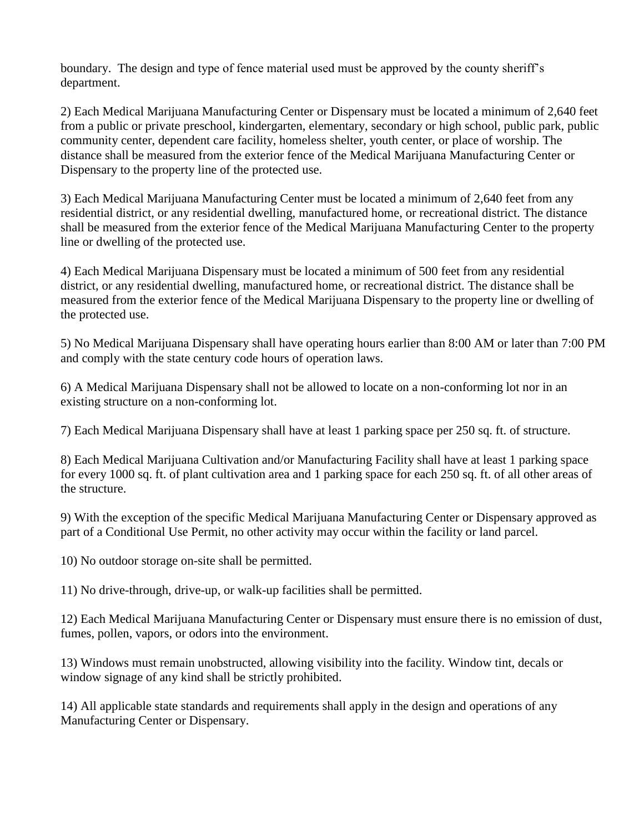boundary. The design and type of fence material used must be approved by the county sheriff's department.

2) Each Medical Marijuana Manufacturing Center or Dispensary must be located a minimum of 2,640 feet from a public or private preschool, kindergarten, elementary, secondary or high school, public park, public community center, dependent care facility, homeless shelter, youth center, or place of worship. The distance shall be measured from the exterior fence of the Medical Marijuana Manufacturing Center or Dispensary to the property line of the protected use.

3) Each Medical Marijuana Manufacturing Center must be located a minimum of 2,640 feet from any residential district, or any residential dwelling, manufactured home, or recreational district. The distance shall be measured from the exterior fence of the Medical Marijuana Manufacturing Center to the property line or dwelling of the protected use.

4) Each Medical Marijuana Dispensary must be located a minimum of 500 feet from any residential district, or any residential dwelling, manufactured home, or recreational district. The distance shall be measured from the exterior fence of the Medical Marijuana Dispensary to the property line or dwelling of the protected use.

5) No Medical Marijuana Dispensary shall have operating hours earlier than 8:00 AM or later than 7:00 PM and comply with the state century code hours of operation laws.

6) A Medical Marijuana Dispensary shall not be allowed to locate on a non-conforming lot nor in an existing structure on a non-conforming lot.

7) Each Medical Marijuana Dispensary shall have at least 1 parking space per 250 sq. ft. of structure.

8) Each Medical Marijuana Cultivation and/or Manufacturing Facility shall have at least 1 parking space for every 1000 sq. ft. of plant cultivation area and 1 parking space for each 250 sq. ft. of all other areas of the structure.

9) With the exception of the specific Medical Marijuana Manufacturing Center or Dispensary approved as part of a Conditional Use Permit, no other activity may occur within the facility or land parcel.

10) No outdoor storage on-site shall be permitted.

11) No drive-through, drive-up, or walk-up facilities shall be permitted.

12) Each Medical Marijuana Manufacturing Center or Dispensary must ensure there is no emission of dust, fumes, pollen, vapors, or odors into the environment.

13) Windows must remain unobstructed, allowing visibility into the facility. Window tint, decals or window signage of any kind shall be strictly prohibited.

14) All applicable state standards and requirements shall apply in the design and operations of any Manufacturing Center or Dispensary.